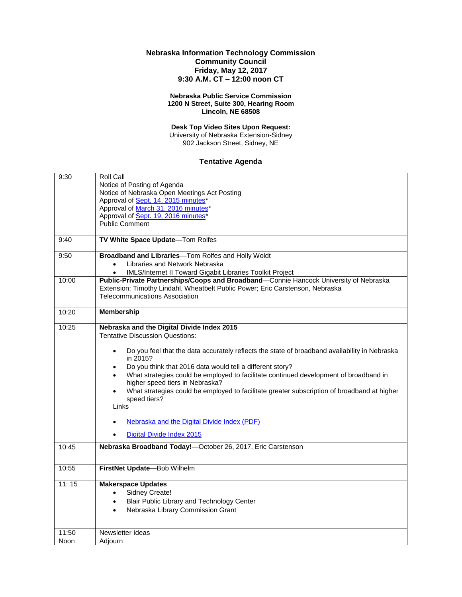## **Nebraska Information Technology Commission Community Council Friday, May 12, 2017 9:30 A.M. CT – 12:00 noon CT**

## **Nebraska Public Service Commission 1200 N Street, Suite 300, Hearing Room Lincoln, NE 68508**

**Desk Top Video Sites Upon Request:** University of Nebraska Extension-Sidney 902 Jackson Street, Sidney, NE

## **Tentative Agenda**

| 9:30  | Roll Call                                                                                                  |
|-------|------------------------------------------------------------------------------------------------------------|
|       | Notice of Posting of Agenda                                                                                |
|       | Notice of Nebraska Open Meetings Act Posting                                                               |
|       | Approval of Sept. 14, 2015 minutes*                                                                        |
|       | Approval of March 31, 2016 minutes*                                                                        |
|       | Approval of Sept. 19, 2016 minutes*                                                                        |
|       | <b>Public Comment</b>                                                                                      |
|       |                                                                                                            |
| 9:40  | TV White Space Update-Tom Rolfes                                                                           |
| 9:50  | Broadband and Libraries-Tom Rolfes and Holly Woldt                                                         |
|       | Libraries and Network Nebraska<br>$\bullet$                                                                |
|       | IMLS/Internet II Toward Gigabit Libraries Toolkit Project                                                  |
| 10:00 | Public-Private Partnerships/Coops and Broadband-Connie Hancock University of Nebraska                      |
|       | Extension: Timothy Lindahl, Wheatbelt Public Power; Eric Carstenson, Nebraska                              |
|       | <b>Telecommunications Association</b>                                                                      |
|       |                                                                                                            |
| 10:20 | <b>Membership</b>                                                                                          |
|       |                                                                                                            |
| 10:25 | Nebraska and the Digital Divide Index 2015                                                                 |
|       | <b>Tentative Discussion Questions:</b>                                                                     |
|       |                                                                                                            |
|       | Do you feel that the data accurately reflects the state of broadband availability in Nebraska<br>$\bullet$ |
|       | in 2015?                                                                                                   |
|       | Do you think that 2016 data would tell a different story?                                                  |
|       | What strategies could be employed to facilitate continued development of broadband in                      |
|       | higher speed tiers in Nebraska?                                                                            |
|       | What strategies could be employed to facilitate greater subscription of broadband at higher                |
|       | speed tiers?                                                                                               |
|       | Links                                                                                                      |
|       |                                                                                                            |
|       | Nebraska and the Digital Divide Index (PDF)                                                                |
|       | Digital Divide Index 2015                                                                                  |
| 10:45 | Nebraska Broadband Today!-October 26, 2017, Eric Carstenson                                                |
|       |                                                                                                            |
| 10:55 | FirstNet Update-Bob Wilhelm                                                                                |
|       |                                                                                                            |
| 11:15 | <b>Makerspace Updates</b>                                                                                  |
|       | Sidney Create!<br>$\bullet$                                                                                |
|       | Blair Public Library and Technology Center                                                                 |
|       | Nebraska Library Commission Grant<br>$\bullet$                                                             |
|       |                                                                                                            |
|       |                                                                                                            |
| 11:50 | Newsletter Ideas                                                                                           |
| Noon  | Adjourn                                                                                                    |